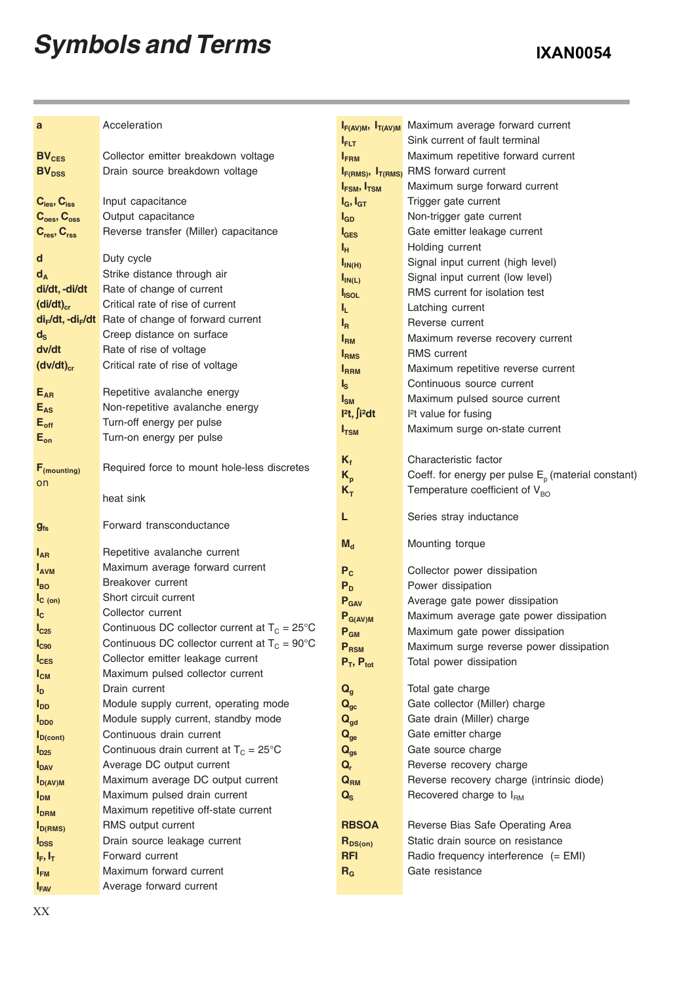## *Symbols and Terms*

| a                                   | Acceleration                                                                |                                      | I <sub>F(AV)M</sub> , I <sub>T(AV)M</sub> Maximum average forward current |
|-------------------------------------|-----------------------------------------------------------------------------|--------------------------------------|---------------------------------------------------------------------------|
|                                     |                                                                             | $I_{\sf{FLT}}$                       | Sink current of fault terminal                                            |
| BV <sub>CES</sub>                   | Collector emitter breakdown voltage                                         | $I_{FBM}$                            | Maximum repetitive forward current                                        |
| <b>BV</b> <sub>DSS</sub>            | Drain source breakdown voltage                                              | $I_{F(RMS)}$ , $I_{T(RMS)}$          | RMS forward current                                                       |
|                                     |                                                                             | $I_{FSM}$ , $I_{TSM}$                | Maximum surge forward current                                             |
| $C_{\text{ies}}$ , $C_{\text{iss}}$ | Input capacitance                                                           | $I_G$ , $I_{GT}$                     | Trigger gate current                                                      |
| $C_{\text{oes}}, C_{\text{oss}}$    | Output capacitance                                                          | $I_{GD}$                             | Non-trigger gate current                                                  |
| $C_{res}$ , $C_{rss}$               | Reverse transfer (Miller) capacitance                                       | $I_{\text{GES}}$                     | Gate emitter leakage current                                              |
| d                                   | Duty cycle                                                                  | ы,                                   | Holding current                                                           |
|                                     | Strike distance through air                                                 | $I_{IN(H)}$                          | Signal input current (high level)                                         |
| $d_A$<br>di/dt, -di/dt              | Rate of change of current                                                   | $I_{IN(L)}$                          | Signal input current (low level)                                          |
|                                     | Critical rate of rise of current                                            | I <sub>ISOL</sub>                    | RMS current for isolation test                                            |
| $(dil/dt)_{cr}$                     |                                                                             | կ,                                   | Latching current                                                          |
|                                     | di <sub>r</sub> /dt, -di <sub>r</sub> /dt Rate of change of forward current | l <sub>R</sub>                       | Reverse current                                                           |
| $d_{\rm S}$                         | Creep distance on surface                                                   | $I_{\rm RM}$                         | Maximum reverse recovery current                                          |
| dv/dt                               | Rate of rise of voltage                                                     | I <sub>RMS</sub>                     | <b>RMS</b> current                                                        |
| $(dv/dt)_{cr}$                      | Critical rate of rise of voltage                                            | <b>IRRM</b>                          | Maximum repetitive reverse current                                        |
|                                     | Repetitive avalanche energy                                                 | $I_{\rm S}$                          | Continuous source current                                                 |
| $E_{AR}$                            | Non-repetitive avalanche energy                                             | $I_{\text{SM}}$                      | Maximum pulsed source current                                             |
| $E_{AS}$                            |                                                                             | l <sup>2</sup> t, ∫i <sup>2</sup> dt | <sup>2</sup> t value for fusing                                           |
| $E_{\rm off}$                       | Turn-off energy per pulse                                                   | $I_{TSM}$                            | Maximum surge on-state current                                            |
| $E_{on}$                            | Turn-on energy per pulse                                                    |                                      |                                                                           |
|                                     |                                                                             | $K_f$                                | Characteristic factor                                                     |
| $F_{(mounting)}$                    | Required force to mount hole-less discretes                                 | $K_{p}$                              | Coeff. for energy per pulse $E_p$ (material constant)                     |
| on                                  | heat sink                                                                   | $K_T$                                | Temperature coefficient of $V_{BO}$                                       |
|                                     |                                                                             |                                      |                                                                           |
| $g_{fs}$                            | Forward transconductance                                                    | L                                    | Series stray inductance                                                   |
|                                     |                                                                             |                                      |                                                                           |
| $I_{AR}$                            | Repetitive avalanche current                                                | $M_d$                                | Mounting torque                                                           |
| <b>I</b> <sub>AVM</sub>             | Maximum average forward current                                             | $P_{c}$                              | Collector power dissipation                                               |
| $I_{BO}$                            | Breakover current                                                           | $P_D$                                | Power dissipation                                                         |
| $I_{\text{C (on)}}$                 | Short circuit current                                                       | P <sub>GAV</sub>                     | Average gate power dissipation                                            |
| $I_{\rm c}$                         | Collector current                                                           | $P_{G(AV)M}$                         | Maximum average gate power dissipation                                    |
| $I_{C25}$                           | Continuous DC collector current at $T_c = 25^{\circ}C$                      | $P_{GM}$                             | Maximum gate power dissipation                                            |
| I <sub>C90</sub>                    | Continuous DC collector current at $T_c = 90^{\circ}$ C                     | P <sub>RSM</sub>                     | Maximum surge reverse power dissipation                                   |
| $I_{CES}$                           | Collector emitter leakage current                                           | $P_T$ , $P_{tot}$                    | Total power dissipation                                                   |
| $I_{CM}$                            | Maximum pulsed collector current                                            |                                      |                                                                           |
| $I_{\text{D}}$                      | Drain current                                                               | $Q_{g}$                              | Total gate charge                                                         |
| <b>I</b> <sub>DD</sub>              | Module supply current, operating mode                                       | $Q_{gc}$                             | Gate collector (Miller) charge                                            |
| $I_{DD0}$                           | Module supply current, standby mode                                         | $\mathbf{Q}_{\text{gd}}$             | Gate drain (Miller) charge                                                |
| $I_{D (cont)}$                      | Continuous drain current                                                    | $\mathbf{Q}_{\mathrm{ge}}$           | Gate emitter charge                                                       |
| $I_{D25}$                           | Continuous drain current at $T_c = 25^{\circ}$ C                            | $Q_{gs}$                             | Gate source charge                                                        |
| <b>I</b> <sub>DAV</sub>             | Average DC output current                                                   | $\mathbf{Q}_r$                       | Reverse recovery charge                                                   |
| $I_{D(AV)M}$                        | Maximum average DC output current                                           | $Q_{\rm RM}$                         | Reverse recovery charge (intrinsic diode)                                 |
| <b>I</b> <sub>DM</sub>              | Maximum pulsed drain current                                                | $Q_{S}$                              | Recovered charge to $I_{\text{RM}}$                                       |
| <b>I</b> <sub>DRM</sub>             | Maximum repetitive off-state current                                        |                                      |                                                                           |
| $I_{D(RMS)}$                        | RMS output current                                                          | <b>RBSOA</b>                         | Reverse Bias Safe Operating Area                                          |
| <b>I</b> <sub>DSS</sub>             | Drain source leakage current                                                | $R_{DS(on)}$                         | Static drain source on resistance                                         |
| $I_F, I_T$                          | Forward current                                                             | <b>RFI</b>                           | Radio frequency interference (= EMI)                                      |
| $I_{FM}$                            | Maximum forward current                                                     | $R_G$                                | Gate resistance                                                           |
| <b>IFAV</b>                         | Average forward current                                                     |                                      |                                                                           |
|                                     |                                                                             |                                      |                                                                           |